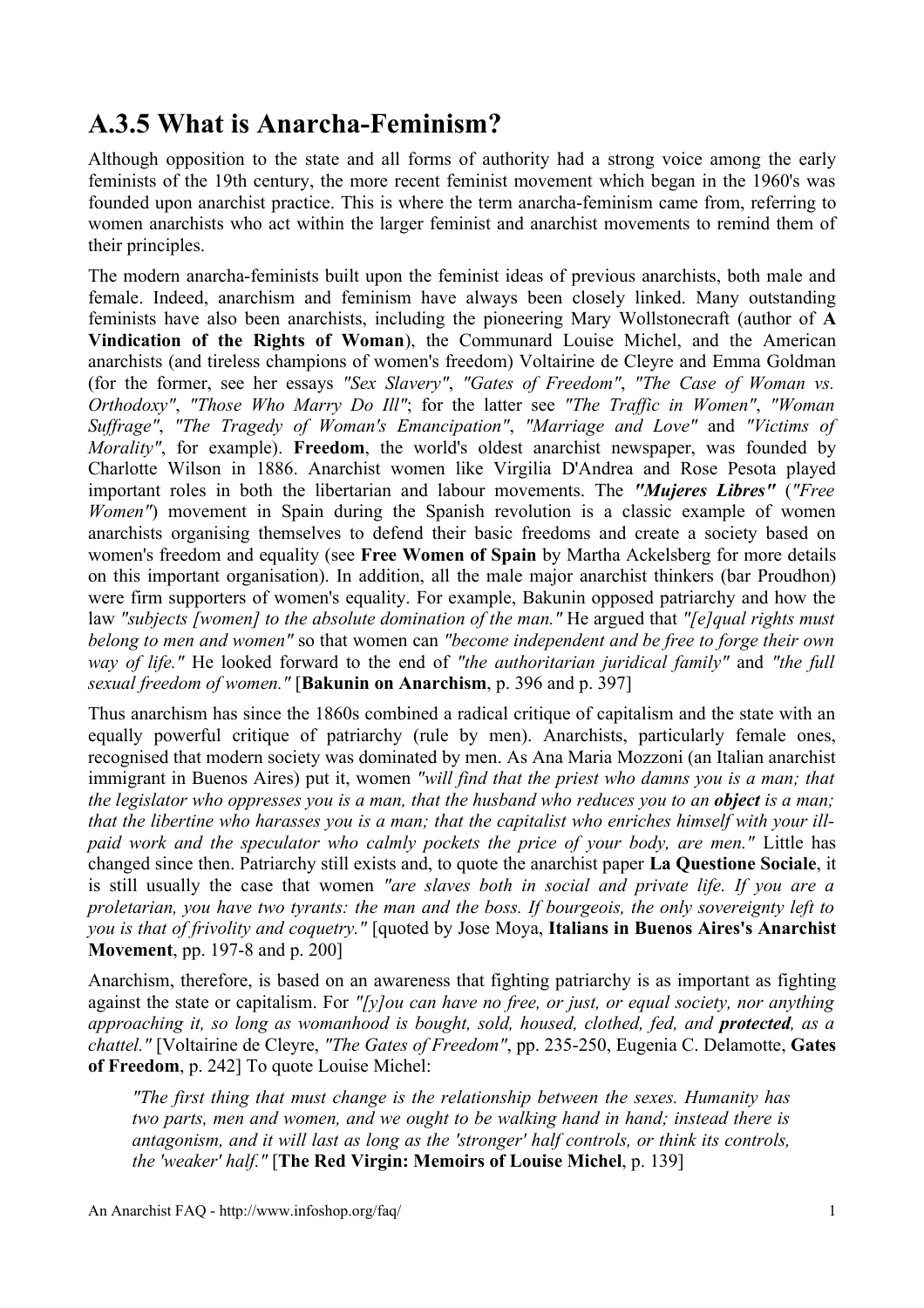## **A.3.5 What is Anarcha-Feminism?**

Although opposition to the state and all forms of authority had a strong voice among the early feminists of the 19th century, the more recent feminist movement which began in the 1960's was founded upon anarchist practice. This is where the term anarcha-feminism came from, referring to women anarchists who act within the larger feminist and anarchist movements to remind them of their principles.

The modern anarcha-feminists built upon the feminist ideas of previous anarchists, both male and female. Indeed, anarchism and feminism have always been closely linked. Many outstanding feminists have also been anarchists, including the pioneering Mary Wollstonecraft (author of **A Vindication of the Rights of Woman**), the Communard Louise Michel, and the American anarchists (and tireless champions of women's freedom) Voltairine de Cleyre and Emma Goldman (for the former, see her essays *"Sex Slavery"*, *"Gates of Freedom"*, *"The Case of Woman vs. Orthodoxy"*, *"Those Who Marry Do Ill"*; for the latter see *"The Traffic in Women"*, *"Woman Suffrage"*, *"The Tragedy of Woman's Emancipation"*, *"Marriage and Love"* and *"Victims of Morality"*, for example). **Freedom**, the world's oldest anarchist newspaper, was founded by Charlotte Wilson in 1886. Anarchist women like Virgilia D'Andrea and Rose Pesota played important roles in both the libertarian and labour movements. The *"Mujeres Libres"* (*"Free Women*") movement in Spain during the Spanish revolution is a classic example of women anarchists organising themselves to defend their basic freedoms and create a society based on women's freedom and equality (see **Free Women of Spain** by Martha Ackelsberg for more details on this important organisation). In addition, all the male major anarchist thinkers (bar Proudhon) were firm supporters of women's equality. For example, Bakunin opposed patriarchy and how the law *"subjects [women] to the absolute domination of the man."* He argued that *"[e]qual rights must belong to men and women"* so that women can *"become independent and be free to forge their own way of life."* He looked forward to the end of *"the authoritarian juridical family"* and *"the full sexual freedom of women."* [**Bakunin on Anarchism**, p. 396 and p. 397]

Thus anarchism has since the 1860s combined a radical critique of capitalism and the state with an equally powerful critique of patriarchy (rule by men). Anarchists, particularly female ones, recognised that modern society was dominated by men. As Ana Maria Mozzoni (an Italian anarchist immigrant in Buenos Aires) put it, women *"will find that the priest who damns you is a man; that* the legislator who oppresses you is a man, that the husband who reduces you to an **object** is a man; that the libertine who harasses you is a man; that the capitalist who enriches himself with your ill*paid work and the speculator who calmly pockets the price of your body, are men."* Little has changed since then. Patriarchy still exists and, to quote the anarchist paper **La Questione Sociale**, it is still usually the case that women *"are slaves both in social and private life. If you are a proletarian, you have two tyrants: the man and the boss. If bourgeois, the only sovereignty left to you is that of frivolity and coquetry."* [quoted by Jose Moya, **Italians in Buenos Aires's Anarchist Movement**, pp. 197-8 and p. 200]

Anarchism, therefore, is based on an awareness that fighting patriarchy is as important as fighting against the state or capitalism. For *"[y]ou can have no free, or just, or equal society, nor anything approaching it, so long as womanhood is bought, sold, housed, clothed, fed, and protected, as a chattel."* [Voltairine de Cleyre, *"The Gates of Freedom"*, pp. 235-250, Eugenia C. Delamotte, **Gates of Freedom**, p. 242] To quote Louise Michel:

*"The first thing that must change is the relationship between the sexes. Humanity has two parts, men and women, and we ought to be walking hand in hand; instead there is antagonism, and it will last as long as the 'stronger' half controls, or think its controls, the 'weaker' half."* [**The Red Virgin: Memoirs of Louise Michel**, p. 139]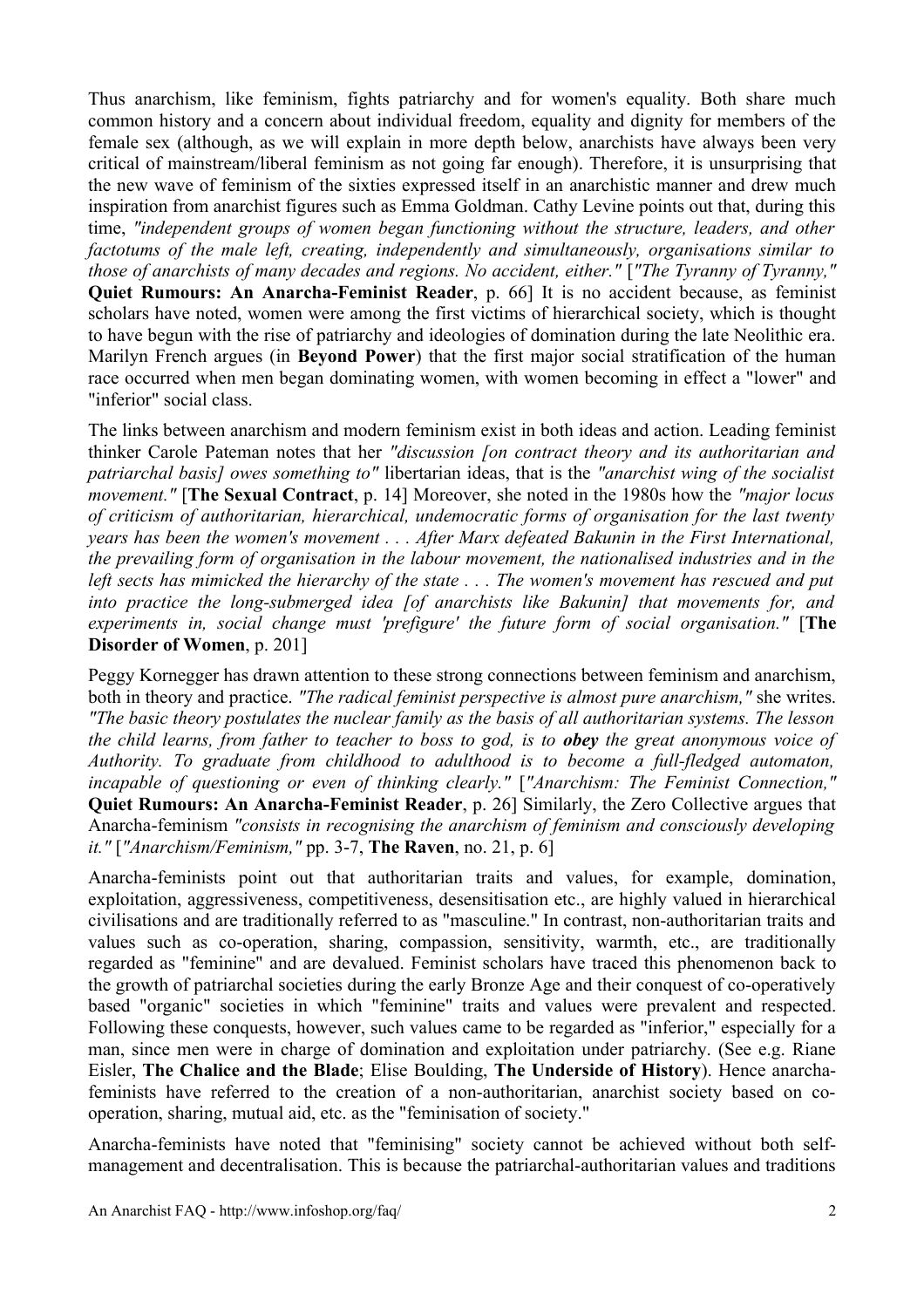Thus anarchism, like feminism, fights patriarchy and for women's equality. Both share much common history and a concern about individual freedom, equality and dignity for members of the female sex (although, as we will explain in more depth below, anarchists have always been very critical of mainstream/liberal feminism as not going far enough). Therefore, it is unsurprising that the new wave of feminism of the sixties expressed itself in an anarchistic manner and drew much inspiration from anarchist figures such as Emma Goldman. Cathy Levine points out that, during this time, *"independent groups of women began functioning without the structure, leaders, and other factotums of the male left, creating, independently and simultaneously, organisations similar to those of anarchists of many decades and regions. No accident, either."* [*"The Tyranny of Tyranny,"* **Quiet Rumours: An Anarcha-Feminist Reader**, p. 66] It is no accident because, as feminist scholars have noted, women were among the first victims of hierarchical society, which is thought to have begun with the rise of patriarchy and ideologies of domination during the late Neolithic era. Marilyn French argues (in **Beyond Power**) that the first major social stratification of the human race occurred when men began dominating women, with women becoming in effect a "lower" and "inferior" social class.

The links between anarchism and modern feminism exist in both ideas and action. Leading feminist thinker Carole Pateman notes that her *"discussion [on contract theory and its authoritarian and patriarchal basis] owes something to"* libertarian ideas, that is the *"anarchist wing of the socialist movement."* [**The Sexual Contract**, p. 14] Moreover, she noted in the 1980s how the *"major locus of criticism of authoritarian, hierarchical, undemocratic forms of organisation for the last twenty years has been the women's movement . . . After Marx defeated Bakunin in the First International, the prevailing form of organisation in the labour movement, the nationalised industries and in the* left sects has mimicked the hierarchy of the state ... The women's movement has rescued and put *into practice the long-submerged idea [of anarchists like Bakunin] that movements for, and experiments in, social change must 'prefigure' the future form of social organisation."* [**The Disorder of Women**, p. 201]

Peggy Kornegger has drawn attention to these strong connections between feminism and anarchism, both in theory and practice. *"The radical feminist perspective is almost pure anarchism,"* she writes. *"The basic theory postulates the nuclear family as the basis of all authoritarian systems. The lesson* the child learns, from father to teacher to boss to god, is to **obey** the great anonymous voice of *Authority. To graduate from childhood to adulthood is to become a full-fledged automaton, incapable of questioning or even of thinking clearly."* [*"Anarchism: The Feminist Connection,"* **Quiet Rumours: An Anarcha-Feminist Reader**, p. 26] Similarly, the Zero Collective argues that Anarcha-feminism *"consists in recognising the anarchism of feminism and consciously developing it."* [*"Anarchism/Feminism,"* pp. 3-7, **The Raven**, no. 21, p. 6]

Anarcha-feminists point out that authoritarian traits and values, for example, domination, exploitation, aggressiveness, competitiveness, desensitisation etc., are highly valued in hierarchical civilisations and are traditionally referred to as "masculine." In contrast, non-authoritarian traits and values such as co-operation, sharing, compassion, sensitivity, warmth, etc., are traditionally regarded as "feminine" and are devalued. Feminist scholars have traced this phenomenon back to the growth of patriarchal societies during the early Bronze Age and their conquest of co-operatively based "organic" societies in which "feminine" traits and values were prevalent and respected. Following these conquests, however, such values came to be regarded as "inferior," especially for a man, since men were in charge of domination and exploitation under patriarchy. (See e.g. Riane Eisler, **The Chalice and the Blade**; Elise Boulding, **The Underside of History**). Hence anarchafeminists have referred to the creation of a non-authoritarian, anarchist society based on cooperation, sharing, mutual aid, etc. as the "feminisation of society."

Anarcha-feminists have noted that "feminising" society cannot be achieved without both selfmanagement and decentralisation. This is because the patriarchal-authoritarian values and traditions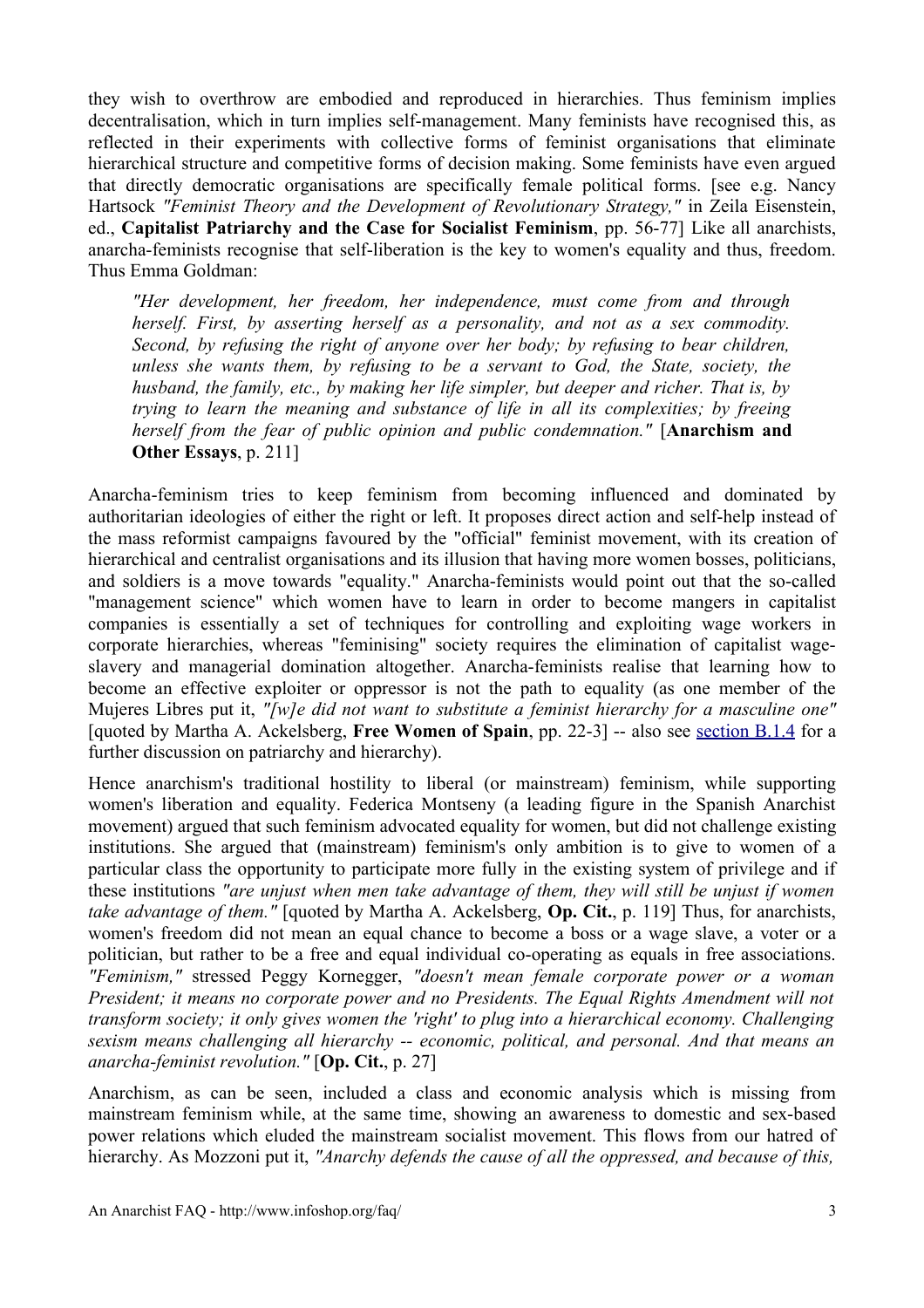they wish to overthrow are embodied and reproduced in hierarchies. Thus feminism implies decentralisation, which in turn implies self-management. Many feminists have recognised this, as reflected in their experiments with collective forms of feminist organisations that eliminate hierarchical structure and competitive forms of decision making. Some feminists have even argued that directly democratic organisations are specifically female political forms. [see e.g. Nancy Hartsock *"Feminist Theory and the Development of Revolutionary Strategy,"* in Zeila Eisenstein, ed., **Capitalist Patriarchy and the Case for Socialist Feminism**, pp. 56-77] Like all anarchists, anarcha-feminists recognise that self-liberation is the key to women's equality and thus, freedom. Thus Emma Goldman:

*"Her development, her freedom, her independence, must come from and through herself. First, by asserting herself as a personality, and not as a sex commodity. Second, by refusing the right of anyone over her body; by refusing to bear children, unless she wants them, by refusing to be a servant to God, the State, society, the husband, the family, etc., by making her life simpler, but deeper and richer. That is, by trying to learn the meaning and substance of life in all its complexities; by freeing herself from the fear of public opinion and public condemnation."* [**Anarchism and Other Essays**, p. 211]

Anarcha-feminism tries to keep feminism from becoming influenced and dominated by authoritarian ideologies of either the right or left. It proposes direct action and self-help instead of the mass reformist campaigns favoured by the "official" feminist movement, with its creation of hierarchical and centralist organisations and its illusion that having more women bosses, politicians, and soldiers is a move towards "equality." Anarcha-feminists would point out that the so-called "management science" which women have to learn in order to become mangers in capitalist companies is essentially a set of techniques for controlling and exploiting wage workers in corporate hierarchies, whereas "feminising" society requires the elimination of capitalist wageslavery and managerial domination altogether. Anarcha-feminists realise that learning how to become an effective exploiter or oppressor is not the path to equality (as one member of the Mujeres Libres put it, *"[w]e did not want to substitute a feminist hierarchy for a masculine one"* [quoted by Martha A. Ackelsberg, **Free Women of Spain**, pp. 22-3] -- also see [section](http://www.infoshop.org/faq/secB1.html#secb14) B.1.4 for a further discussion on patriarchy and hierarchy).

Hence anarchism's traditional hostility to liberal (or mainstream) feminism, while supporting women's liberation and equality. Federica Montseny (a leading figure in the Spanish Anarchist movement) argued that such feminism advocated equality for women, but did not challenge existing institutions. She argued that (mainstream) feminism's only ambition is to give to women of a particular class the opportunity to participate more fully in the existing system of privilege and if these institutions *"are unjust when men take advantage of them, they will still be unjust if women take advantage of them."* [quoted by Martha A. Ackelsberg, **Op. Cit.**, p. 119] Thus, for anarchists, women's freedom did not mean an equal chance to become a boss or a wage slave, a voter or a politician, but rather to be a free and equal individual co-operating as equals in free associations. *"Feminism,"* stressed Peggy Kornegger, *"doesn't mean female corporate power or a woman President; it means no corporate power and no Presidents. The Equal Rights Amendment will not transform society; it only gives women the 'right' to plug into a hierarchical economy. Challenging sexism means challenging all hierarchy -- economic, political, and personal. And that means an anarcha-feminist revolution."* [**Op. Cit.**, p. 27]

Anarchism, as can be seen, included a class and economic analysis which is missing from mainstream feminism while, at the same time, showing an awareness to domestic and sex-based power relations which eluded the mainstream socialist movement. This flows from our hatred of hierarchy. As Mozzoni put it, *"Anarchy defends the cause of all the oppressed, and because of this,*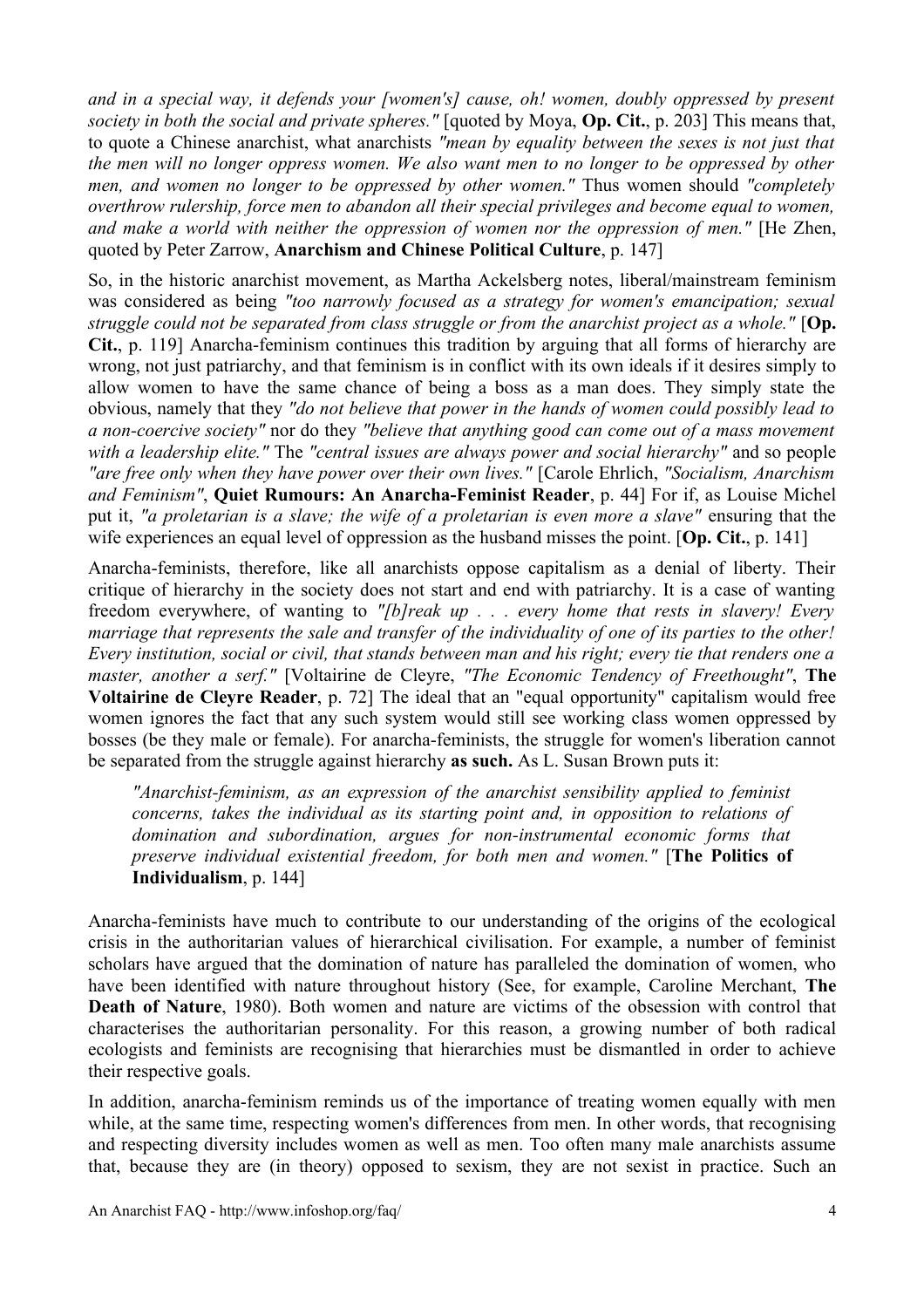*and in a special way, it defends your [women's] cause, oh! women, doubly oppressed by present society in both the social and private spheres."* [quoted by Moya, **Op. Cit.**, p. 203] This means that, to quote a Chinese anarchist, what anarchists *"mean by equality between the sexes is not just that* the men will no longer oppress women. We also want men to no longer to be oppressed by other *men, and women no longer to be oppressed by other women."* Thus women should *"completely overthrow rulership, force men to abandon all their special privileges and become equal to women, and make a world with neither the oppression of women nor the oppression of men."* [He Zhen, quoted by Peter Zarrow, **Anarchism and Chinese Political Culture**, p. 147]

So, in the historic anarchist movement, as Martha Ackelsberg notes, liberal/mainstream feminism was considered as being *"too narrowly focused as a strategy for women's emancipation; sexual struggle could not be separated from class struggle or from the anarchist project as a whole."* [**Op. Cit.**, p. 119] Anarcha-feminism continues this tradition by arguing that all forms of hierarchy are wrong, not just patriarchy, and that feminism is in conflict with its own ideals if it desires simply to allow women to have the same chance of being a boss as a man does. They simply state the obvious, namely that they *"do not believe that power in the hands of women could possibly lead to a non-coercive society"* nor do they *"believe that anything good can come out of a mass movement with a leadership elite."* The *"central issues are always power and social hierarchy"* and so people *"are free only when they have power over their own lives."* [Carole Ehrlich, *"Socialism, Anarchism and Feminism"*, **Quiet Rumours: An Anarcha-Feminist Reader**, p. 44] For if, as Louise Michel put it, *"a proletarian is a slave; the wife of a proletarian is even more a slave"* ensuring that the wife experiences an equal level of oppression as the husband misses the point. [**Op. Cit.**, p. 141]

Anarcha-feminists, therefore, like all anarchists oppose capitalism as a denial of liberty. Their critique of hierarchy in the society does not start and end with patriarchy. It is a case of wanting freedom everywhere, of wanting to *"[b]reak up . . . every home that rests in slavery! Every* marriage that represents the sale and transfer of the individuality of one of its parties to the other! Every institution, social or civil, that stands between man and his right; every tie that renders one a *master, another a serf."* [Voltairine de Cleyre, *"The Economic Tendency of Freethought"*, **The Voltairine de Cleyre Reader**, p. 72] The ideal that an "equal opportunity" capitalism would free women ignores the fact that any such system would still see working class women oppressed by bosses (be they male or female). For anarcha-feminists, the struggle for women's liberation cannot be separated from the struggle against hierarchy **as such.** As L. Susan Brown puts it:

*"Anarchist-feminism, as an expression of the anarchist sensibility applied to feminist concerns, takes the individual as its starting point and, in opposition to relations of domination and subordination, argues for non-instrumental economic forms that preserve individual existential freedom, for both men and women."* [**The Politics of Individualism**, p. 144]

Anarcha-feminists have much to contribute to our understanding of the origins of the ecological crisis in the authoritarian values of hierarchical civilisation. For example, a number of feminist scholars have argued that the domination of nature has paralleled the domination of women, who have been identified with nature throughout history (See, for example, Caroline Merchant, **The Death of Nature**, 1980). Both women and nature are victims of the obsession with control that characterises the authoritarian personality. For this reason, a growing number of both radical ecologists and feminists are recognising that hierarchies must be dismantled in order to achieve their respective goals.

In addition, anarcha-feminism reminds us of the importance of treating women equally with men while, at the same time, respecting women's differences from men. In other words, that recognising and respecting diversity includes women as well as men. Too often many male anarchists assume that, because they are (in theory) opposed to sexism, they are not sexist in practice. Such an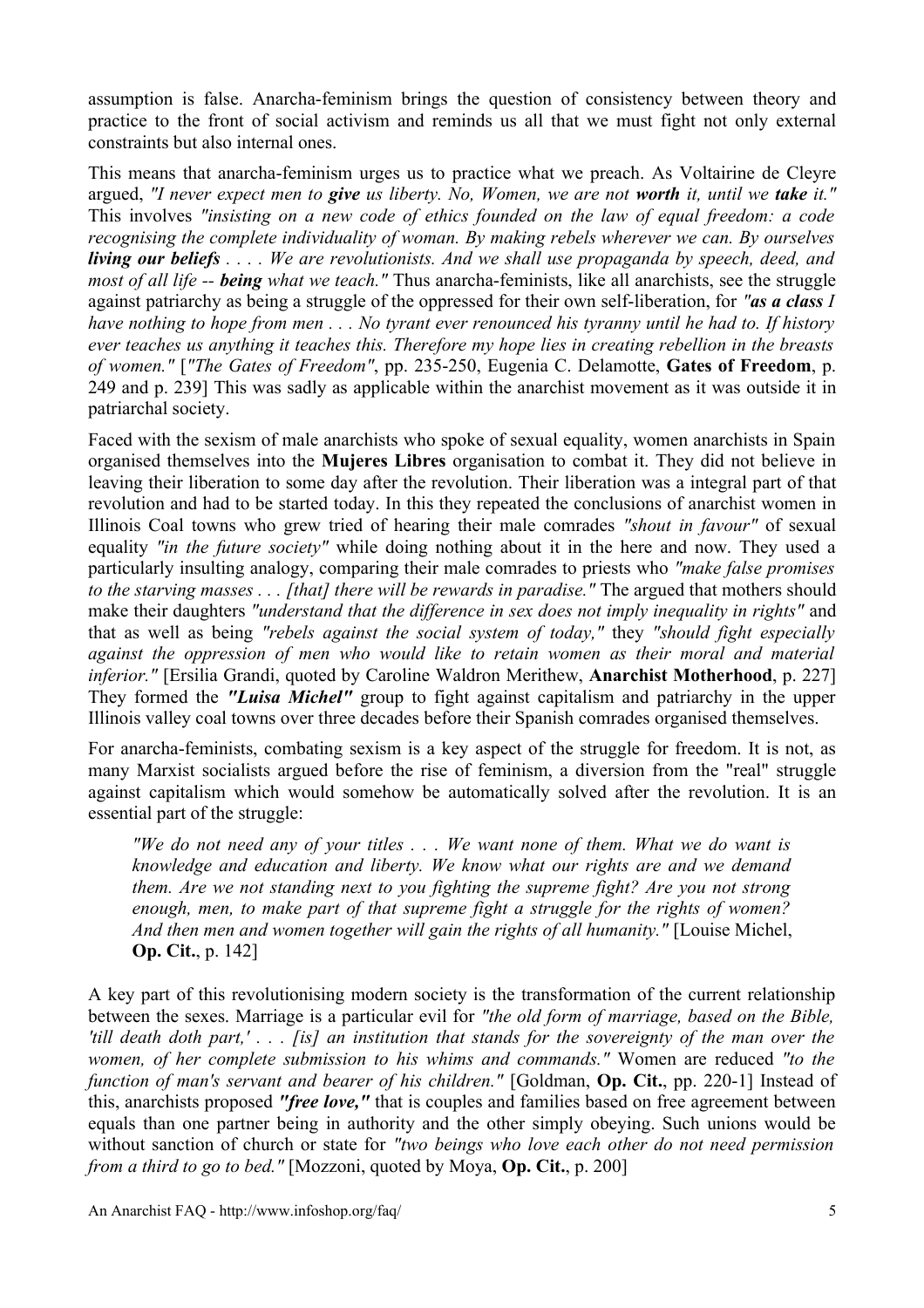assumption is false. Anarcha-feminism brings the question of consistency between theory and practice to the front of social activism and reminds us all that we must fight not only external constraints but also internal ones.

This means that anarcha-feminism urges us to practice what we preach. As Voltairine de Cleyre argued, "I never expect men to give us liberty. No, Women, we are not worth it, until we take it." This involves *"insisting on a new code of ethics founded on the law of equal freedom: a code recognising the complete individuality of woman. By making rebels wherever we can. By ourselves* **living our beliefs** . . . . We are revolutionists. And we shall use propaganda by speech, deed, and *most of all life -- being what we teach."* Thus anarcha-feminists, like all anarchists, see the struggle against patriarchy as being a struggle of the oppressed for their own self-liberation, for *"as a class I* have nothing to hope from men  $\ldots$  No tyrant ever renounced his tyranny until he had to. If history *ever teaches us anything it teaches this. Therefore my hope lies in creating rebellion in the breasts of women."* [*"The Gates of Freedom"*, pp. 235-250, Eugenia C. Delamotte, **Gates of Freedom**, p. 249 and p. 239] This was sadly as applicable within the anarchist movement as it was outside it in patriarchal society.

Faced with the sexism of male anarchists who spoke of sexual equality, women anarchists in Spain organised themselves into the **Mujeres Libres** organisation to combat it. They did not believe in leaving their liberation to some day after the revolution. Their liberation was a integral part of that revolution and had to be started today. In this they repeated the conclusions of anarchist women in Illinois Coal towns who grew tried of hearing their male comrades *"shout in favour"* of sexual equality *"in the future society"* while doing nothing about it in the here and now. They used a particularly insulting analogy, comparing their male comrades to priests who *"make false promises to the starving masses . . . [that] there will be rewards in paradise."* The argued that mothers should make their daughters *"understand that the difference in sex does not imply inequality in rights"* and that as well as being *"rebels against the social system of today,"* they *"should fight especially against the oppression of men who would like to retain women as their moral and material inferior."* [Ersilia Grandi, quoted by Caroline Waldron Merithew, **Anarchist Motherhood**, p. 227] They formed the *"Luisa Michel"* group to fight against capitalism and patriarchy in the upper Illinois valley coal towns over three decades before their Spanish comrades organised themselves.

For anarcha-feminists, combating sexism is a key aspect of the struggle for freedom. It is not, as many Marxist socialists argued before the rise of feminism, a diversion from the "real" struggle against capitalism which would somehow be automatically solved after the revolution. It is an essential part of the struggle:

"We do not need any of your titles  $\ldots$ . We want none of them. What we do want is *knowledge and education and liberty. We know what our rights are and we demand them. Are we not standing next to you fighting the supreme fight? Are you not strong enough, men, to make part of that supreme fight a struggle for the rights of women? And then men and women together will gain the rights of all humanity."* [Louise Michel, **Op. Cit.**, p. 142]

A key part of this revolutionising modern society is the transformation of the current relationship between the sexes. Marriage is a particular evil for *"the old form of marriage, based on the Bible,* 'till death doth part,'... [is] an institution that stands for the sovereignty of the man over the *women, of her complete submission to his whims and commands."* Women are reduced *"to the function of man's servant and bearer of his children."* [Goldman, **Op. Cit.**, pp. 220-1] Instead of this, anarchists proposed *"free love,"* that is couples and families based on free agreement between equals than one partner being in authority and the other simply obeying. Such unions would be without sanction of church or state for *"two beings who love each other do not need permission from a third to go to bed."* [Mozzoni, quoted by Moya, **Op. Cit.**, p. 200]